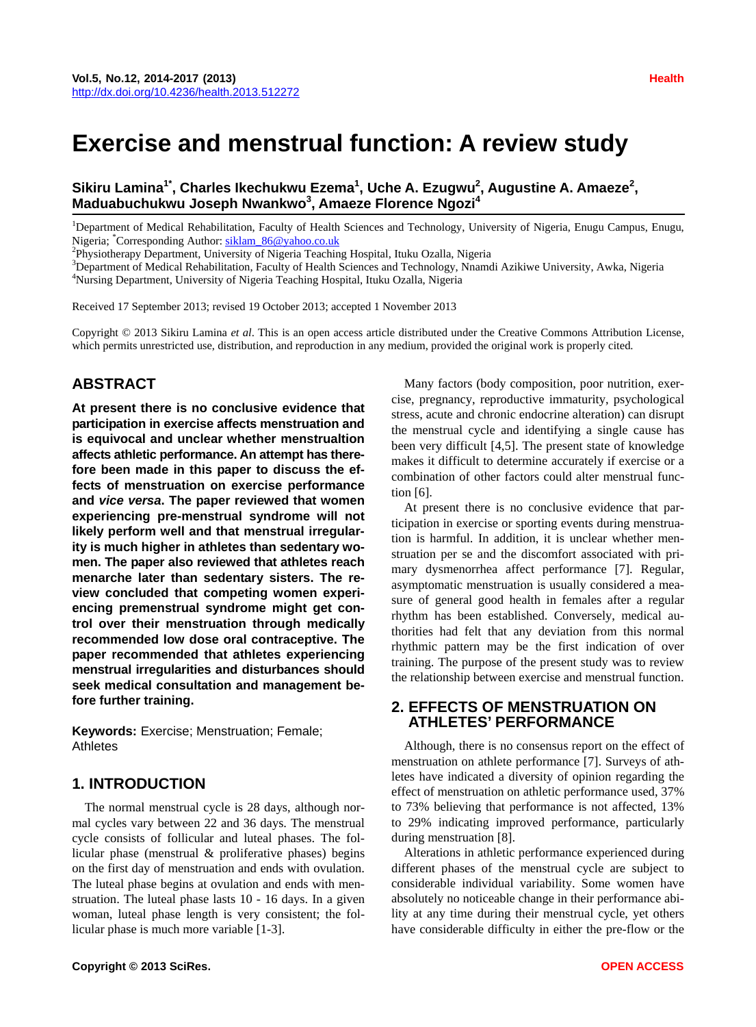# **Exercise and menstrual function: A review study**

# $\boldsymbol{\mathsf{S}}$ ikiru Lamina $^{\prime\prime}$ , Charles Ikechukwu Ezema $^{\prime}$ , Uche A. Ezugwu $^{\prime}$ , Augustine A. Amaeze $^{\prime}$ , **Maduabuchukwu Joseph Nwankwo<sup>3</sup> , Amaeze Florence Ngozi<sup>4</sup>**

<sup>1</sup>Department of Medical Rehabilitation, Faculty of Health Sciences and Technology, University of Nigeria, Enugu Campus, Enugu, Nigeria; <sup>\*</sup>Corresponding Author: **[siklam\\_86@yahoo.co.uk](mailto:shinyashishvarghese@gmail.com)**<br><sup>2</sup>Dhysisthereny Depertment University of Nigeria Teachin

 $^{2}$ Physiotherapy Department, University of Nigeria Teaching Hospital, Ituku Ozalla, Nigeria

 ${}^{3}$ Department of Medical Rehabilitation, Faculty of Health Sciences and Technology, Nnamdi Azikiwe University, Awka, Nigeria <sup>4</sup>Nursing Department, University of Nigeria Teaching Hospital, Ituku Ozalla, Nigeria

Received 17 September 2013; revised 19 October 2013; accepted 1 November 2013

Copyright © 2013 Sikiru Lamina *et al*. This is an open access article distributed under the Creative Commons Attribution License, which permits unrestricted use, distribution, and reproduction in any medium, provided the original work is properly cited.

# **ABSTRACT**

**At present there is no conclusive evidence that participation in exercise affects menstruation and is equivocal and unclear whether menstrualtion affects athletic performance. An attempt has therefore been made in this paper to discuss the effects of menstruation on exercise performance and** *vice versa***. The paper reviewed that women experiencing pre-menstrual syndrome will not likely perform well and that menstrual irregularity is much higher in athletes than sedentary women. The paper also reviewed that athletes reach menarche later than sedentary sisters. The review concluded that competing women experiencing premenstrual syndrome might get control over their menstruation through medically recommended low dose oral contraceptive. The paper recommended that athletes experiencing menstrual irregularities and disturbances should seek medical consultation and management before further training.** 

**Keywords:** Exercise; Menstruation; Female; Athletes

## **1. INTRODUCTION**

The normal menstrual cycle is 28 days, although normal cycles vary between 22 and 36 days. The menstrual cycle consists of follicular and luteal phases. The follicular phase (menstrual & proliferative phases) begins on the first day of menstruation and ends with ovulation. The luteal phase begins at ovulation and ends with menstruation. The luteal phase lasts 10 - 16 days. In a given woman, luteal phase length is very consistent; the follicular phase is much more variable [1-3].

Many factors (body composition, poor nutrition, exercise, pregnancy, reproductive immaturity, psychological stress, acute and chronic endocrine alteration) can disrupt the menstrual cycle and identifying a single cause has been very difficult [4,5]. The present state of knowledge makes it difficult to determine accurately if exercise or a combination of other factors could alter menstrual function [6].

At present there is no conclusive evidence that participation in exercise or sporting events during menstruation is harmful. In addition, it is unclear whether menstruation per se and the discomfort associated with primary dysmenorrhea affect performance [7]. Regular, asymptomatic menstruation is usually considered a measure of general good health in females after a regular rhythm has been established. Conversely, medical authorities had felt that any deviation from this normal rhythmic pattern may be the first indication of over training. The purpose of the present study was to review the relationship between exercise and menstrual function.

## **2. EFFECTS OF MENSTRUATION ON ATHLETES' PERFORMANCE**

Although, there is no consensus report on the effect of menstruation on athlete performance [7]. Surveys of athletes have indicated a diversity of opinion regarding the effect of menstruation on athletic performance used, 37% to 73% believing that performance is not affected, 13% to 29% indicating improved performance, particularly during menstruation [8].

Alterations in athletic performance experienced during different phases of the menstrual cycle are subject to considerable individual variability. Some women have absolutely no noticeable change in their performance ability at any time during their menstrual cycle, yet others have considerable difficulty in either the pre-flow or the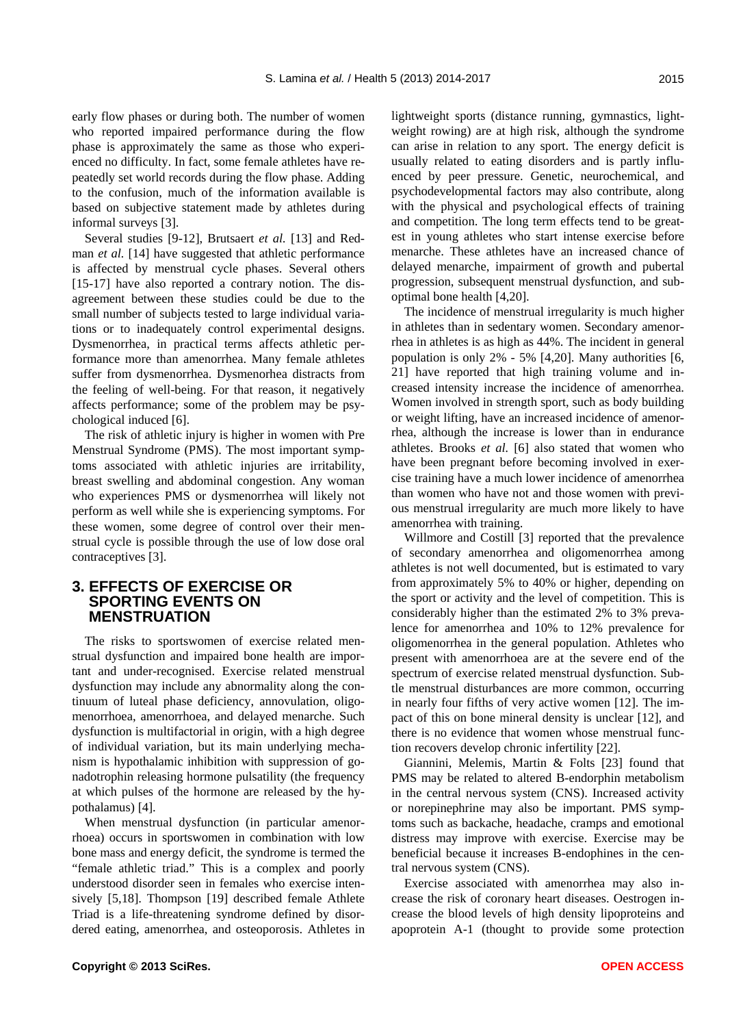early flow phases or during both. The number of women who reported impaired performance during the flow phase is approximately the same as those who experienced no difficulty. In fact, some female athletes have repeatedly set world records during the flow phase. Adding to the confusion, much of the information available is based on subjective statement made by athletes during informal surveys [3].

Several studies [9-12], Brutsaert *et al.* [13] and Redman *et al.* [14] have suggested that athletic performance is affected by menstrual cycle phases. Several others [15-17] have also reported a contrary notion. The disagreement between these studies could be due to the small number of subjects tested to large individual variations or to inadequately control experimental designs. Dysmenorrhea, in practical terms affects athletic performance more than amenorrhea. Many female athletes suffer from dysmenorrhea. Dysmenorhea distracts from the feeling of well-being. For that reason, it negatively affects performance; some of the problem may be psychological induced [6].

The risk of athletic injury is higher in women with Pre Menstrual Syndrome (PMS). The most important symptoms associated with athletic injuries are irritability, breast swelling and abdominal congestion. Any woman who experiences PMS or dysmenorrhea will likely not perform as well while she is experiencing symptoms. For these women, some degree of control over their menstrual cycle is possible through the use of low dose oral contraceptives [3].

### **3. EFFECTS OF EXERCISE OR SPORTING EVENTS ON MENSTRUATION**

The risks to sportswomen of exercise related menstrual dysfunction and impaired bone health are important and under-recognised. Exercise related menstrual dysfunction may include any abnormality along the continuum of luteal phase deficiency, annovulation, oligomenorrhoea, amenorrhoea, and delayed menarche. Such dysfunction is multifactorial in origin, with a high degree of individual variation, but its main underlying mechanism is hypothalamic inhibition with suppression of gonadotrophin releasing hormone pulsatility (the frequency at which pulses of the hormone are released by the hypothalamus) [4].

When menstrual dysfunction (in particular amenorrhoea) occurs in sportswomen in combination with low bone mass and energy deficit, the syndrome is termed the "female athletic triad." This is a complex and poorly understood disorder seen in females who exercise intensively [5,18]. Thompson [19] described female Athlete Triad is a life-threatening syndrome defined by disordered eating, amenorrhea, and osteoporosis. Athletes in lightweight sports (distance running, gymnastics, lightweight rowing) are at high risk, although the syndrome can arise in relation to any sport. The energy deficit is usually related to eating disorders and is partly influenced by peer pressure. Genetic, neurochemical, and psychodevelopmental factors may also contribute, along with the physical and psychological effects of training and competition. The long term effects tend to be greatest in young athletes who start intense exercise before menarche. These athletes have an increased chance of delayed menarche, impairment of growth and pubertal progression, subsequent menstrual dysfunction, and suboptimal bone health [4,20].

The incidence of menstrual irregularity is much higher in athletes than in sedentary women. Secondary amenorrhea in athletes is as high as 44%. The incident in general population is only 2% - 5% [4,20]. Many authorities [6, 21] have reported that high training volume and increased intensity increase the incidence of amenorrhea. Women involved in strength sport, such as body building or weight lifting, have an increased incidence of amenorrhea, although the increase is lower than in endurance athletes. Brooks *et al.* [6] also stated that women who have been pregnant before becoming involved in exercise training have a much lower incidence of amenorrhea than women who have not and those women with previous menstrual irregularity are much more likely to have amenorrhea with training.

Willmore and Costill [3] reported that the prevalence of secondary amenorrhea and oligomenorrhea among athletes is not well documented, but is estimated to vary from approximately 5% to 40% or higher, depending on the sport or activity and the level of competition. This is considerably higher than the estimated 2% to 3% prevalence for amenorrhea and 10% to 12% prevalence for oligomenorrhea in the general population. Athletes who present with amenorrhoea are at the severe end of the spectrum of exercise related menstrual dysfunction. Subtle menstrual disturbances are more common, occurring in nearly four fifths of very active women [12]. The impact of this on bone mineral density is unclear [12], and there is no evidence that women whose menstrual function recovers develop chronic infertility [22].

Giannini, Melemis, Martin & Folts [23] found that PMS may be related to altered B-endorphin metabolism in the central nervous system (CNS). Increased activity or norepinephrine may also be important. PMS symptoms such as backache, headache, cramps and emotional distress may improve with exercise. Exercise may be beneficial because it increases B-endophines in the central nervous system (CNS).

Exercise associated with amenorrhea may also increase the risk of coronary heart diseases. Oestrogen increase the blood levels of high density lipoproteins and apoprotein A-1 (thought to provide some protection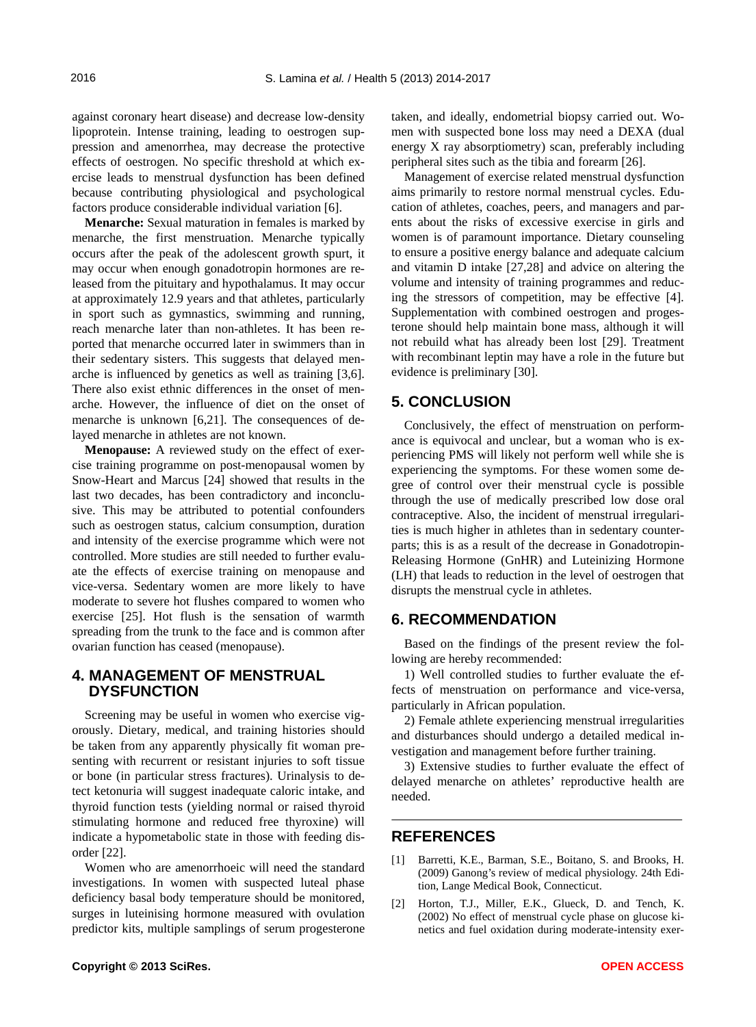against coronary heart disease) and decrease low-density lipoprotein. Intense training, leading to oestrogen suppression and amenorrhea, may decrease the protective effects of oestrogen. No specific threshold at which exercise leads to menstrual dysfunction has been defined because contributing physiological and psychological factors produce considerable individual variation [6].

**Menarche:** Sexual maturation in females is marked by menarche, the first menstruation. Menarche typically occurs after the peak of the adolescent growth spurt, it may occur when enough gonadotropin hormones are released from the pituitary and hypothalamus. It may occur at approximately 12.9 years and that athletes, particularly in sport such as gymnastics, swimming and running, reach menarche later than non-athletes. It has been reported that menarche occurred later in swimmers than in their sedentary sisters. This suggests that delayed menarche is influenced by genetics as well as training [3,6]. There also exist ethnic differences in the onset of menarche. However, the influence of diet on the onset of menarche is unknown [6,21]. The consequences of delayed menarche in athletes are not known.

**Menopause:** A reviewed study on the effect of exercise training programme on post-menopausal women by Snow-Heart and Marcus [24] showed that results in the last two decades, has been contradictory and inconclusive. This may be attributed to potential confounders such as oestrogen status, calcium consumption, duration and intensity of the exercise programme which were not controlled. More studies are still needed to further evaluate the effects of exercise training on menopause and vice-versa. Sedentary women are more likely to have moderate to severe hot flushes compared to women who exercise [25]. Hot flush is the sensation of warmth spreading from the trunk to the face and is common after ovarian function has ceased (menopause).

## **4. MANAGEMENT OF MENSTRUAL DYSFUNCTION**

Screening may be useful in women who exercise vigorously. Dietary, medical, and training histories should be taken from any apparently physically fit woman presenting with recurrent or resistant injuries to soft tissue or bone (in particular stress fractures). Urinalysis to detect ketonuria will suggest inadequate caloric intake, and thyroid function tests (yielding normal or raised thyroid stimulating hormone and reduced free thyroxine) will indicate a hypometabolic state in those with feeding disorder [22].

Women who are amenorrhoeic will need the standard investigations. In women with suspected luteal phase deficiency basal body temperature should be monitored, surges in luteinising hormone measured with ovulation predictor kits, multiple samplings of serum progesterone

taken, and ideally, endometrial biopsy carried out. Women with suspected bone loss may need a DEXA (dual energy X ray absorptiometry) scan, preferably including peripheral sites such as the tibia and forearm [26].

Management of exercise related menstrual dysfunction aims primarily to restore normal menstrual cycles. Education of athletes, coaches, peers, and managers and parents about the risks of excessive exercise in girls and women is of paramount importance. Dietary counseling to ensure a positive energy balance and adequate calcium and vitamin D intake [27,28] and advice on altering the volume and intensity of training programmes and reducing the stressors of competition, may be effective [4]. Supplementation with combined oestrogen and progesterone should help maintain bone mass, although it will not rebuild what has already been lost [29]. Treatment with recombinant leptin may have a role in the future but evidence is preliminary [30].

# **5. CONCLUSION**

Conclusively, the effect of menstruation on performance is equivocal and unclear, but a woman who is experiencing PMS will likely not perform well while she is experiencing the symptoms. For these women some degree of control over their menstrual cycle is possible through the use of medically prescribed low dose oral contraceptive. Also, the incident of menstrual irregularities is much higher in athletes than in sedentary counterparts; this is as a result of the decrease in Gonadotropin-Releasing Hormone (GnHR) and Luteinizing Hormone (LH) that leads to reduction in the level of oestrogen that disrupts the menstrual cycle in athletes.

### **6. RECOMMENDATION**

Based on the findings of the present review the following are hereby recommended:

1) Well controlled studies to further evaluate the effects of menstruation on performance and vice-versa, particularly in African population.

2) Female athlete experiencing menstrual irregularities and disturbances should undergo a detailed medical investigation and management before further training.

3) Extensive studies to further evaluate the effect of delayed menarche on athletes' reproductive health are needed.

### **REFERENCES**

- [1] Barretti, K.E., Barman, S.E., Boitano, S. and Brooks, H. (2009) Ganong's review of medical physiology. 24th Edition, Lange Medical Book, Connecticut.
- [2] Horton, T.J., Miller, E.K., Glueck, D. and Tench, K. (2002) No effect of menstrual cycle phase on glucose kinetics and fuel oxidation during moderate-intensity exer-